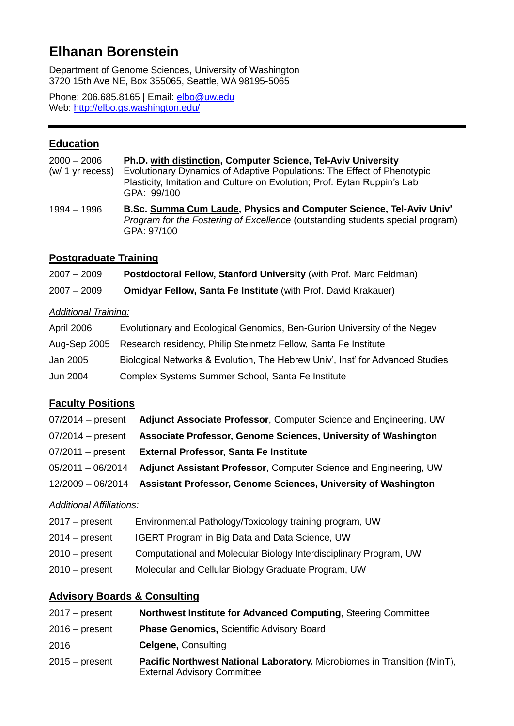# **Elhanan Borenstein**

Department of Genome Sciences, University of Washington 3720 15th Ave NE, Box 355065, Seattle, WA 98195-5065

Phone: 206.685.8165 | Email: elbo@uw.edu Web:<http://elbo.gs.washington.edu/>

# **Education**

| $2000 - 2006$      | <b>Ph.D. with distinction, Computer Science, Tel-Aviv University</b>                    |
|--------------------|-----------------------------------------------------------------------------------------|
| $(w/ 1 yr$ recess) | Evolutionary Dynamics of Adaptive Populations: The Effect of Phenotypic                 |
|                    | Plasticity, Imitation and Culture on Evolution; Prof. Eytan Ruppin's Lab<br>GPA: 99/100 |

<sup>1994 –</sup> 1996 **B.Sc. Summa Cum Laude, Physics and Computer Science, Tel-Aviv Univ'** *Program for the Fostering of Excellence* (outstanding students special program) GPA: 97/100

# **Postgraduate Training**

| $2007 - 2009$ | Postdoctoral Fellow, Stanford University (with Prof. Marc Feldman) |  |
|---------------|--------------------------------------------------------------------|--|
|---------------|--------------------------------------------------------------------|--|

| 2007 – 2009 | <b>Omidyar Fellow, Santa Fe Institute</b> (with Prof. David Krakauer) |  |
|-------------|-----------------------------------------------------------------------|--|
|             |                                                                       |  |

## *Additional Training:*

| April 2006 | Evolutionary and Ecological Genomics, Ben-Gurion University of the Negev      |
|------------|-------------------------------------------------------------------------------|
|            | Aug-Sep 2005 Research residency, Philip Steinmetz Fellow, Santa Fe Institute  |
| Jan 2005   | Biological Networks & Evolution, The Hebrew Univ', Inst' for Advanced Studies |
| Jun 2004   | Complex Systems Summer School, Santa Fe Institute                             |

# **Faculty Positions**

| Adjunct Associate Professor, Computer Science and Engineering, UW                |
|----------------------------------------------------------------------------------|
| Associate Professor, Genome Sciences, University of Washington                   |
| <b>External Professor, Santa Fe Institute</b>                                    |
| Adjunct Assistant Professor, Computer Science and Engineering, UW                |
| 12/2009 - 06/2014 Assistant Professor, Genome Sciences, University of Washington |
|                                                                                  |

## *Additional Affiliations:*

| $2017 - present$ | Environmental Pathology/Toxicology training program, UW           |
|------------------|-------------------------------------------------------------------|
| $2014 - present$ | <b>IGERT Program in Big Data and Data Science, UW</b>             |
| $2010 - present$ | Computational and Molecular Biology Interdisciplinary Program, UW |
| $2010 - present$ | Molecular and Cellular Biology Graduate Program, UW               |
|                  |                                                                   |

# **Advisory Boards & Consulting**

| $2017 - present$ | Northwest Institute for Advanced Computing, Steering Committee                                                 |
|------------------|----------------------------------------------------------------------------------------------------------------|
| $2016$ – present | <b>Phase Genomics, Scientific Advisory Board</b>                                                               |
| 2016             | <b>Celgene, Consulting</b>                                                                                     |
| $2015 - present$ | Pacific Northwest National Laboratory, Microbiomes in Transition (MinT),<br><b>External Advisory Committee</b> |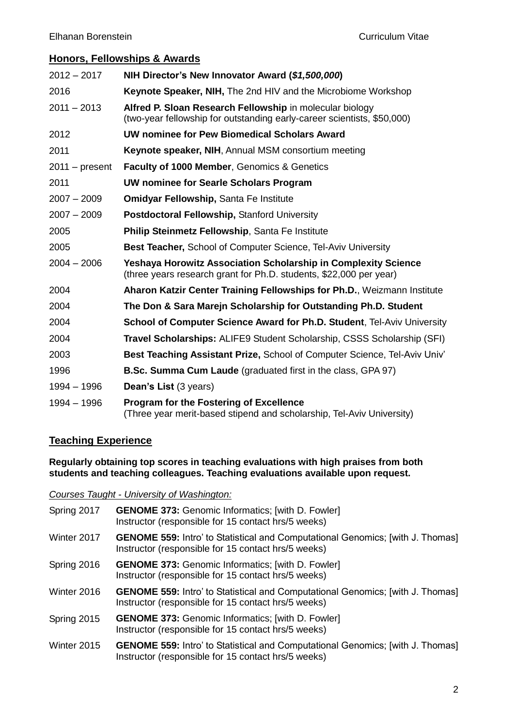# **Honors, Fellowships & Awards**

| $2012 - 2017$    | NIH Director's New Innovator Award (\$1,500,000)                                                                                            |
|------------------|---------------------------------------------------------------------------------------------------------------------------------------------|
| 2016             | <b>Keynote Speaker, NIH, The 2nd HIV and the Microbiome Workshop</b>                                                                        |
| $2011 - 2013$    | Alfred P. Sloan Research Fellowship in molecular biology<br>(two-year fellowship for outstanding early-career scientists, \$50,000)         |
| 2012             | UW nominee for Pew Biomedical Scholars Award                                                                                                |
| 2011             | Keynote speaker, NIH, Annual MSM consortium meeting                                                                                         |
| $2011 - present$ | Faculty of 1000 Member, Genomics & Genetics                                                                                                 |
| 2011             | UW nominee for Searle Scholars Program                                                                                                      |
| $2007 - 2009$    | <b>Omidyar Fellowship, Santa Fe Institute</b>                                                                                               |
| $2007 - 2009$    | Postdoctoral Fellowship, Stanford University                                                                                                |
| 2005             | Philip Steinmetz Fellowship, Santa Fe Institute                                                                                             |
| 2005             | <b>Best Teacher, School of Computer Science, Tel-Aviv University</b>                                                                        |
| $2004 - 2006$    | <b>Yeshaya Horowitz Association Scholarship in Complexity Science</b><br>(three years research grant for Ph.D. students, \$22,000 per year) |
| 2004             | Aharon Katzir Center Training Fellowships for Ph.D., Weizmann Institute                                                                     |
| 2004             | The Don & Sara Marejn Scholarship for Outstanding Ph.D. Student                                                                             |
| 2004             | School of Computer Science Award for Ph.D. Student, Tel-Aviv University                                                                     |
| 2004             | Travel Scholarships: ALIFE9 Student Scholarship, CSSS Scholarship (SFI)                                                                     |
| 2003             | Best Teaching Assistant Prize, School of Computer Science, Tel-Aviv Univ'                                                                   |
| 1996             | <b>B.Sc. Summa Cum Laude</b> (graduated first in the class, GPA 97)                                                                         |
| $1994 - 1996$    | Dean's List (3 years)                                                                                                                       |
| 1994 - 1996      | <b>Program for the Fostering of Excellence</b><br>(Three year merit-based stipend and scholarship, Tel-Aviv University)                     |

# **Teaching Experience**

#### **Regularly obtaining top scores in teaching evaluations with high praises from both students and teaching colleagues. Teaching evaluations available upon request.**

|  |  | Courses Taught - University of Washington: |
|--|--|--------------------------------------------|
|  |  |                                            |

Spring 2017 **GENOME 373:** Genomic Informatics; [with D. Fowler] Instructor (responsible for 15 contact hrs/5 weeks) Winter 2017 **GENOME 559:** Intro' to Statistical and Computational Genomics; [with J. Thomas] Instructor (responsible for 15 contact hrs/5 weeks) Spring 2016 **GENOME 373:** Genomic Informatics; [with D. Fowler] Instructor (responsible for 15 contact hrs/5 weeks) Winter 2016 **GENOME 559:** Intro' to Statistical and Computational Genomics; [with J. Thomas] Instructor (responsible for 15 contact hrs/5 weeks) Spring 2015 **GENOME 373:** Genomic Informatics; [with D. Fowler] Instructor (responsible for 15 contact hrs/5 weeks) Winter 2015 **GENOME 559:** Intro' to Statistical and Computational Genomics; [with J. Thomas] Instructor (responsible for 15 contact hrs/5 weeks)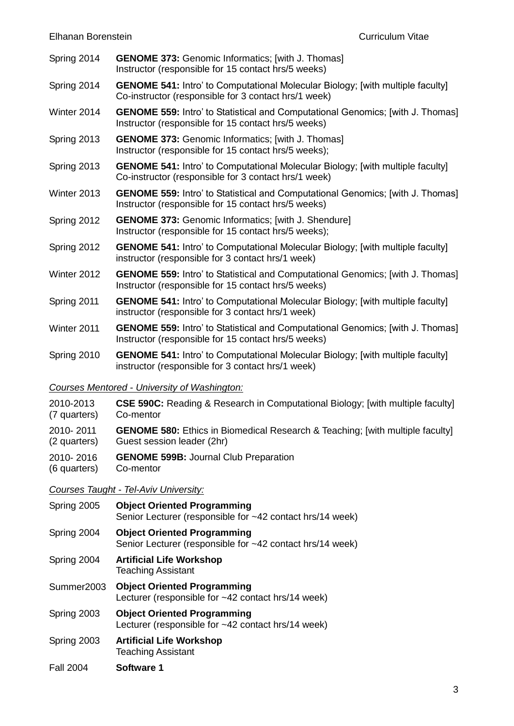- Spring 2014 **GENOME 373:** Genomic Informatics; [with J. Thomas] Instructor (responsible for 15 contact hrs/5 weeks)
- Spring 2014 **GENOME 541:** Intro' to Computational Molecular Biology; [with multiple faculty] Co-instructor (responsible for 3 contact hrs/1 week)
- Winter 2014 **GENOME 559:** Intro' to Statistical and Computational Genomics; [with J. Thomas] Instructor (responsible for 15 contact hrs/5 weeks)
- Spring 2013 **GENOME 373:** Genomic Informatics; [with J. Thomas] Instructor (responsible for 15 contact hrs/5 weeks);
- Spring 2013 **GENOME 541:** Intro' to Computational Molecular Biology; [with multiple faculty] Co-instructor (responsible for 3 contact hrs/1 week)
- Winter 2013 **GENOME 559:** Intro' to Statistical and Computational Genomics; [with J. Thomas] Instructor (responsible for 15 contact hrs/5 weeks)
- Spring 2012 **GENOME 373:** Genomic Informatics; [with J. Shendure] Instructor (responsible for 15 contact hrs/5 weeks);
- Spring 2012 **GENOME 541:** Intro' to Computational Molecular Biology; [with multiple faculty] instructor (responsible for 3 contact hrs/1 week)
- Winter 2012 **GENOME 559:** Intro' to Statistical and Computational Genomics; [with J. Thomas] Instructor (responsible for 15 contact hrs/5 weeks)
- Spring 2011 **GENOME 541:** Intro' to Computational Molecular Biology; [with multiple faculty] instructor (responsible for 3 contact hrs/1 week)
- Winter 2011 **GENOME 559:** Intro' to Statistical and Computational Genomics; [with J. Thomas] Instructor (responsible for 15 contact hrs/5 weeks)
- Spring 2010 **GENOME 541:** Intro' to Computational Molecular Biology; [with multiple faculty] instructor (responsible for 3 contact hrs/1 week)

#### *Courses Mentored - University of Washington:*

- 2010-2013 (7 quarters) **CSE 590C:** Reading & Research in Computational Biology; [with multiple faculty] Co-mentor
- 2010- 2011 (2 quarters) **GENOME 580:** Ethics in Biomedical Research & Teaching; [with multiple faculty] Guest session leader (2hr)
- 2010- 2016 **GENOME 599B:** Journal Club Preparation
- (6 quarters) Co-mentor

#### *Courses Taught - Tel-Aviv University:*

| Spring 2005      | <b>Object Oriented Programming</b><br>Senior Lecturer (responsible for ~42 contact hrs/14 week) |  |
|------------------|-------------------------------------------------------------------------------------------------|--|
| Spring 2004      | <b>Object Oriented Programming</b><br>Senior Lecturer (responsible for ~42 contact hrs/14 week) |  |
| Spring 2004      | <b>Artificial Life Workshop</b><br><b>Teaching Assistant</b>                                    |  |
| Summer2003       | <b>Object Oriented Programming</b><br>Lecturer (responsible for ~42 contact hrs/14 week)        |  |
| Spring 2003      | <b>Object Oriented Programming</b><br>Lecturer (responsible for $~12$ contact hrs/14 week)      |  |
| Spring 2003      | <b>Artificial Life Workshop</b><br><b>Teaching Assistant</b>                                    |  |
| <b>Fall 2004</b> | <b>Software 1</b>                                                                               |  |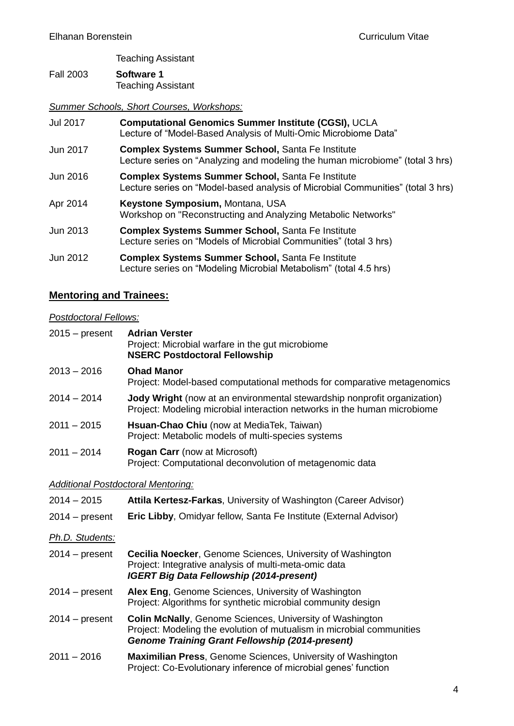Teaching Assistant

Fall 2003 **Software 1** Teaching Assistant

*Summer Schools, Short Courses, Workshops:*

| Jul 2017 | <b>Computational Genomics Summer Institute (CGSI), UCLA</b><br>Lecture of "Model-Based Analysis of Multi-Omic Microbiome Data"              |
|----------|---------------------------------------------------------------------------------------------------------------------------------------------|
| Jun 2017 | <b>Complex Systems Summer School, Santa Fe Institute</b><br>Lecture series on "Analyzing and modeling the human microbiome" (total 3 hrs)   |
| Jun 2016 | <b>Complex Systems Summer School, Santa Fe Institute</b><br>Lecture series on "Model-based analysis of Microbial Communities" (total 3 hrs) |
| Apr 2014 | Keystone Symposium, Montana, USA<br>Workshop on "Reconstructing and Analyzing Metabolic Networks"                                           |
| Jun 2013 | <b>Complex Systems Summer School, Santa Fe Institute</b><br>Lecture series on "Models of Microbial Communities" (total 3 hrs)               |
| Jun 2012 | <b>Complex Systems Summer School, Santa Fe Institute</b><br>Lecture series on "Modeling Microbial Metabolism" (total 4.5 hrs)               |

# **Mentoring and Trainees:**

# *Postdoctoral Fellows:*

| $2015 - present$                          | <b>Adrian Verster</b><br>Project: Microbial warfare in the gut microbiome<br><b>NSERC Postdoctoral Fellowship</b>                                                                                  |
|-------------------------------------------|----------------------------------------------------------------------------------------------------------------------------------------------------------------------------------------------------|
| $2013 - 2016$                             | <b>Ohad Manor</b><br>Project: Model-based computational methods for comparative metagenomics                                                                                                       |
| $2014 - 2014$                             | <b>Jody Wright</b> (now at an environmental stewardship nonprofit organization)<br>Project: Modeling microbial interaction networks in the human microbiome                                        |
| $2011 - 2015$                             | Hsuan-Chao Chiu (now at MediaTek, Taiwan)<br>Project: Metabolic models of multi-species systems                                                                                                    |
| $2011 - 2014$                             | <b>Rogan Carr</b> (now at Microsoft)<br>Project: Computational deconvolution of metagenomic data                                                                                                   |
| <b>Additional Postdoctoral Mentoring:</b> |                                                                                                                                                                                                    |
| $2014 - 2015$                             | Attila Kertesz-Farkas, University of Washington (Career Advisor)                                                                                                                                   |
| $2014 - present$                          | Eric Libby, Omidyar fellow, Santa Fe Institute (External Advisor)                                                                                                                                  |
| Ph.D. Students:                           |                                                                                                                                                                                                    |
| $2014 - present$                          | <b>Cecilia Noecker, Genome Sciences, University of Washington</b><br>Project: Integrative analysis of multi-meta-omic data<br><b>IGERT Big Data Fellowship (2014-present)</b>                      |
| $2014 - present$                          | Alex Eng, Genome Sciences, University of Washington<br>Project: Algorithms for synthetic microbial community design                                                                                |
| $2014 - present$                          | <b>Colin McNally, Genome Sciences, University of Washington</b><br>Project: Modeling the evolution of mutualism in microbial communities<br><b>Genome Training Grant Fellowship (2014-present)</b> |
| $2011 - 2016$                             | <b>Maximilian Press, Genome Sciences, University of Washington</b><br>Project: Co-Evolutionary inference of microbial genes' function                                                              |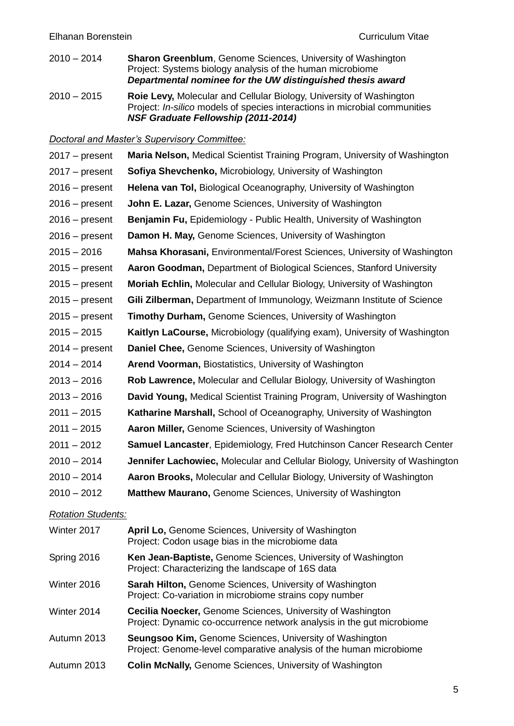- 2010 2014 **Sharon Greenblum**, Genome Sciences, University of Washington Project: Systems biology analysis of the human microbiome *Departmental nominee for the UW distinguished thesis award*
- 2010 2015 **Roie Levy,** Molecular and Cellular Biology, University of Washington Project: *In-silico* models of species interactions in microbial communities *NSF Graduate Fellowship (2011-2014)*

*Doctoral and Master's Supervisory Committee:*

| $2017 - present$          | Maria Nelson, Medical Scientist Training Program, University of Washington                                                                 |
|---------------------------|--------------------------------------------------------------------------------------------------------------------------------------------|
| $2017 - present$          | Sofiya Shevchenko, Microbiology, University of Washington                                                                                  |
| $2016 - present$          | Helena van Tol, Biological Oceanography, University of Washington                                                                          |
| $2016$ – present          | John E. Lazar, Genome Sciences, University of Washington                                                                                   |
| $2016$ – present          | Benjamin Fu, Epidemiology - Public Health, University of Washington                                                                        |
| $2016$ – present          | Damon H. May, Genome Sciences, University of Washington                                                                                    |
| $2015 - 2016$             | Mahsa Khorasani, Environmental/Forest Sciences, University of Washington                                                                   |
| $2015 - present$          | Aaron Goodman, Department of Biological Sciences, Stanford University                                                                      |
| $2015 - present$          | Moriah Echlin, Molecular and Cellular Biology, University of Washington                                                                    |
| $2015 - present$          | Gili Zilberman, Department of Immunology, Weizmann Institute of Science                                                                    |
| $2015 - present$          | <b>Timothy Durham, Genome Sciences, University of Washington</b>                                                                           |
| $2015 - 2015$             | Kaitlyn LaCourse, Microbiology (qualifying exam), University of Washington                                                                 |
| $2014 - present$          | Daniel Chee, Genome Sciences, University of Washington                                                                                     |
| $2014 - 2014$             | Arend Voorman, Biostatistics, University of Washington                                                                                     |
| $2013 - 2016$             | Rob Lawrence, Molecular and Cellular Biology, University of Washington                                                                     |
| $2013 - 2016$             | David Young, Medical Scientist Training Program, University of Washington                                                                  |
| $2011 - 2015$             | Katharine Marshall, School of Oceanography, University of Washington                                                                       |
| $2011 - 2015$             | Aaron Miller, Genome Sciences, University of Washington                                                                                    |
| $2011 - 2012$             | <b>Samuel Lancaster, Epidemiology, Fred Hutchinson Cancer Research Center</b>                                                              |
| $2010 - 2014$             | <b>Jennifer Lachowiec, Molecular and Cellular Biology, University of Washington</b>                                                        |
| $2010 - 2014$             | Aaron Brooks, Molecular and Cellular Biology, University of Washington                                                                     |
| $2010 - 2012$             | Matthew Maurano, Genome Sciences, University of Washington                                                                                 |
| <b>Rotation Students:</b> |                                                                                                                                            |
| Winter 2017               | April Lo, Genome Sciences, University of Washington<br>Project: Codon usage bias in the microbiome data                                    |
| Spring 2016               | Ken Jean-Baptiste, Genome Sciences, University of Washington<br>Project: Characterizing the landscape of 16S data                          |
| Winter 2016               | <b>Sarah Hilton, Genome Sciences, University of Washington</b><br>Project: Co-variation in microbiome strains copy number                  |
| Winter 2014               | <b>Cecilia Noecker, Genome Sciences, University of Washington</b><br>Project: Dynamic co-occurrence network analysis in the gut microbiome |
| Autumn 2013               | <b>Seungsoo Kim, Genome Sciences, University of Washington</b><br>Project: Genome-level comparative analysis of the human microbiome       |
| Autumn 2013               | <b>Colin McNally, Genome Sciences, University of Washington</b>                                                                            |
|                           |                                                                                                                                            |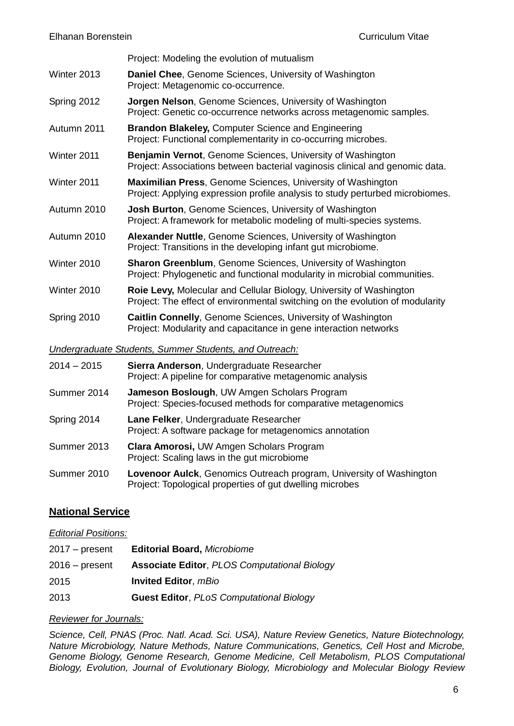Project: Modeling the evolution of mutualism

- Winter 2013 **Daniel Chee**, Genome Sciences, University of Washington Project: Metagenomic co-occurrence.
- Spring 2012 **Jorgen Nelson**, Genome Sciences, University of Washington Project: Genetic co-occurrence networks across metagenomic samples.
- Autumn 2011 **Brandon Blakeley,** Computer Science and Engineering Project: Functional complementarity in co-occurring microbes.
- Winter 2011 **Benjamin Vernot**, Genome Sciences, University of Washington Project: Associations between bacterial vaginosis clinical and genomic data.
- Winter 2011 **Maximilian Press**, Genome Sciences, University of Washington Project: Applying expression profile analysis to study perturbed microbiomes.
- Autumn 2010 **Josh Burton**, Genome Sciences, University of Washington Project: A framework for metabolic modeling of multi-species systems.
- Autumn 2010 **Alexander Nuttle**, Genome Sciences, University of Washington Project: Transitions in the developing infant gut microbiome.
- Winter 2010 **Sharon Greenblum**, Genome Sciences, University of Washington Project: Phylogenetic and functional modularity in microbial communities.
- Winter 2010 **Roie Levy,** Molecular and Cellular Biology, University of Washington Project: The effect of environmental switching on the evolution of modularity
- Spring 2010 **Caitlin Connelly**, Genome Sciences, University of Washington Project: Modularity and capacitance in gene interaction networks

*Undergraduate Students, Summer Students, and Outreach:*

2014 – 2015 **Sierra Anderson**, Undergraduate Researcher Project: A pipeline for comparative metagenomic analysis Summer 2014 **Jameson Boslough**, UW Amgen Scholars Program Project: Species-focused methods for comparative metagenomics Spring 2014 **Lane Felker**, Undergraduate Researcher Project: A software package for metagenomics annotation Summer 2013 **Clara Amorosi,** UW Amgen Scholars Program Project: Scaling laws in the gut microbiome Summer 2010 **Lovenoor Aulck**, Genomics Outreach program, University of Washington

Project: Topological properties of gut dwelling microbes

# **National Service**

#### *Editorial Positions:*

| 2017 – present | <b>Editorial Board, Microbiome</b>                  |
|----------------|-----------------------------------------------------|
| 2016 – present | <b>Associate Editor, PLOS Computational Biology</b> |
| 2015           | <b>Invited Editor, mBio</b>                         |
| 2013           | <b>Guest Editor, PLoS Computational Biology</b>     |

## *Reviewer for Journals:*

*Science, Cell, PNAS (Proc. Natl. Acad. Sci. USA), Nature Review Genetics, Nature Biotechnology, Nature Microbiology, Nature Methods, Nature Communications, Genetics, Cell Host and Microbe, Genome Biology, Genome Research, Genome Medicine, Cell Metabolism, PLOS Computational Biology, Evolution, Journal of Evolutionary Biology, Microbiology and Molecular Biology Review*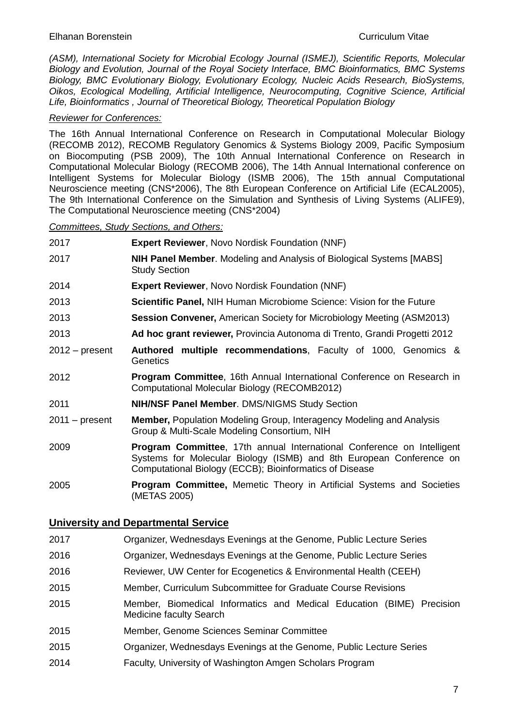*(ASM), International Society for Microbial Ecology Journal (ISMEJ), Scientific Reports, Molecular Biology and Evolution, Journal of the Royal Society Interface, BMC Bioinformatics, BMC Systems Biology, BMC Evolutionary Biology, Evolutionary Ecology, Nucleic Acids Research, BioSystems, Oikos, Ecological Modelling, Artificial Intelligence, Neurocomputing, Cognitive Science, Artificial Life, Bioinformatics , Journal of Theoretical Biology, Theoretical Population Biology* 

#### *Reviewer for Conferences:*

The 16th Annual International Conference on Research in Computational Molecular Biology (RECOMB 2012), RECOMB Regulatory Genomics & Systems Biology 2009, Pacific Symposium on Biocomputing (PSB 2009), The 10th Annual International Conference on Research in Computational Molecular Biology (RECOMB 2006), The 14th Annual International conference on Intelligent Systems for Molecular Biology (ISMB 2006), The 15th annual Computational Neuroscience meeting (CNS\*2006), The 8th European Conference on Artificial Life (ECAL2005), The 9th International Conference on the Simulation and Synthesis of Living Systems (ALIFE9), The Computational Neuroscience meeting (CNS\*2004)

*Committees, Study Sections, and Others:* 

- 2017 **Expert Reviewer**, Novo Nordisk Foundation (NNF)
- 2017 **NIH Panel Member**. Modeling and Analysis of Biological Systems [MABS] Study Section
- 2014 **Expert Reviewer**, Novo Nordisk Foundation (NNF)
- 2013 **Scientific Panel,** NIH Human Microbiome Science: Vision for the Future
- 2013 **Session Convener,** American Society for Microbiology Meeting (ASM2013)
- 2013 **Ad hoc grant reviewer,** Provincia Autonoma di Trento, Grandi Progetti 2012
- 2012 present **Authored multiple recommendations**, Faculty of 1000, Genomics & **Genetics**
- 2012 **Program Committee**, 16th Annual International Conference on Research in Computational Molecular Biology (RECOMB2012)
- 2011 **NIH/NSF Panel Member**. DMS/NIGMS Study Section
- 2011 present **Member,** Population Modeling Group, Interagency Modeling and Analysis Group & Multi-Scale Modeling Consortium, NIH
- 2009 **Program Committee**, 17th annual International Conference on Intelligent Systems for Molecular Biology (ISMB) and 8th European Conference on Computational Biology (ECCB); Bioinformatics of Disease
- 2005 **Program Committee,** Memetic Theory in Artificial Systems and Societies (METAS 2005)

## **University and Departmental Service**

 Organizer, Wednesdays Evenings at the Genome, Public Lecture Series Organizer, Wednesdays Evenings at the Genome, Public Lecture Series Reviewer, UW Center for Ecogenetics & Environmental Health (CEEH) Member, Curriculum Subcommittee for Graduate Course Revisions Member, Biomedical Informatics and Medical Education (BIME) Precision Medicine faculty Search Member, Genome Sciences Seminar Committee Organizer, Wednesdays Evenings at the Genome, Public Lecture Series Faculty, University of Washington Amgen Scholars Program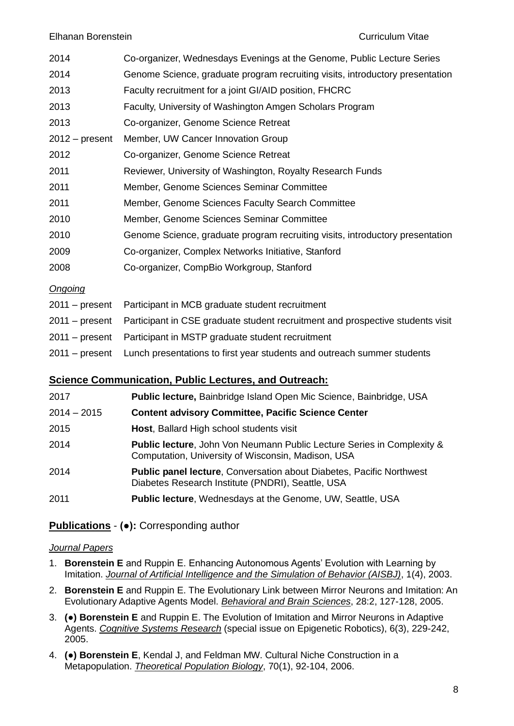#### Elhanan Borenstein Curriculum Vitae

| 2014             | Co-organizer, Wednesdays Evenings at the Genome, Public Lecture Series        |
|------------------|-------------------------------------------------------------------------------|
| 2014             | Genome Science, graduate program recruiting visits, introductory presentation |
| 2013             | Faculty recruitment for a joint GI/AID position, FHCRC                        |
| 2013             | Faculty, University of Washington Amgen Scholars Program                      |
| 2013             | Co-organizer, Genome Science Retreat                                          |
| $2012 - present$ | Member, UW Cancer Innovation Group                                            |
| 2012             | Co-organizer, Genome Science Retreat                                          |
| 2011             | Reviewer, University of Washington, Royalty Research Funds                    |
| 2011             | Member, Genome Sciences Seminar Committee                                     |
| 2011             | Member, Genome Sciences Faculty Search Committee                              |
| 2010             | Member, Genome Sciences Seminar Committee                                     |
| 2010             | Genome Science, graduate program recruiting visits, introductory presentation |
| 2009             | Co-organizer, Complex Networks Initiative, Stanford                           |
| 2008             | Co-organizer, CompBio Workgroup, Stanford                                     |
| Ongoing          |                                                                               |

| 2011 – present Participant in MCB graduate student recruitment                                |
|-----------------------------------------------------------------------------------------------|
| 2011 – present Participant in CSE graduate student recruitment and prospective students visit |
| 2011 – present Participant in MSTP graduate student recruitment                               |
| 2011 – present Lunch presentations to first year students and outreach summer students        |

## **Science Communication, Public Lectures, and Outreach:**

| 2017          | Public lecture, Bainbridge Island Open Mic Science, Bainbridge, USA                                                                     |
|---------------|-----------------------------------------------------------------------------------------------------------------------------------------|
| $2014 - 2015$ | <b>Content advisory Committee, Pacific Science Center</b>                                                                               |
| 2015          | Host, Ballard High school students visit                                                                                                |
| 2014          | <b>Public lecture, John Von Neumann Public Lecture Series in Complexity &amp;</b><br>Computation, University of Wisconsin, Madison, USA |
| 2014          | <b>Public panel lecture, Conversation about Diabetes, Pacific Northwest</b><br>Diabetes Research Institute (PNDRI), Seattle, USA        |
| 2011          | <b>Public lecture, Wednesdays at the Genome, UW, Seattle, USA</b>                                                                       |

# **Publications** - **(●):** Corresponding author

## *Journal Papers*

- 1. **Borenstein E** and Ruppin E. Enhancing Autonomous Agents' Evolution with Learning by Imitation. *Journal of Artificial Intelligence and the Simulation of Behavior (AISBJ)*, 1(4), 2003.
- 2. **Borenstein E** and Ruppin E. The Evolutionary Link between Mirror Neurons and Imitation: An Evolutionary Adaptive Agents Model. *Behavioral and Brain Sciences*, 28:2, 127-128, 2005.
- 3. **(●) Borenstein E** and Ruppin E. The Evolution of Imitation and Mirror Neurons in Adaptive Agents. *Cognitive Systems Research* (special issue on Epigenetic Robotics), 6(3), 229-242, 2005.
- 4. **(●) Borenstein E**, Kendal J, and Feldman MW. Cultural Niche Construction in a Metapopulation. *Theoretical Population Biology*, 70(1), 92-104, 2006.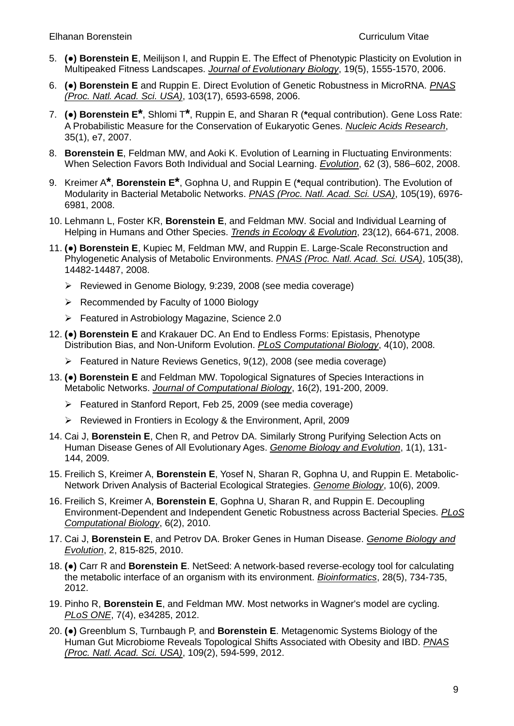- 5. **(●) Borenstein E**, Meilijson I, and Ruppin E. The Effect of Phenotypic Plasticity on Evolution in Multipeaked Fitness Landscapes. *Journal of Evolutionary Biology*, 19(5), 1555-1570, 2006.
- 6. **(●) Borenstein E** and Ruppin E. Direct Evolution of Genetic Robustness in MicroRNA. *PNAS (Proc. Natl. Acad. Sci. USA)*, 103(17), 6593-6598, 2006.
- 7. **(●) Borenstein E\***, Shlomi T**\***, Ruppin E, and Sharan R (**\***equal contribution). Gene Loss Rate: A Probabilistic Measure for the Conservation of Eukaryotic Genes. *Nucleic Acids Research*, 35(1), e7, 2007.
- 8. **Borenstein E**, Feldman MW, and Aoki K. Evolution of Learning in Fluctuating Environments: When Selection Favors Both Individual and Social Learning. *Evolution*, 62 (3), 586–602, 2008.
- 9. Kreimer A**\***, **Borenstein E\***, Gophna U, and Ruppin E (**\***equal contribution). The Evolution of Modularity in Bacterial Metabolic Networks. *PNAS (Proc. Natl. Acad. Sci. USA)*, 105(19), 6976- 6981, 2008.
- 10. Lehmann L, Foster KR, **Borenstein E**, and Feldman MW. Social and Individual Learning of Helping in Humans and Other Species. *Trends in Ecology & Evolution*, 23(12), 664-671, 2008.
- 11. **(●) Borenstein E**, Kupiec M, Feldman MW, and Ruppin E. Large-Scale Reconstruction and Phylogenetic Analysis of Metabolic Environments. *PNAS (Proc. Natl. Acad. Sci. USA)*, 105(38), 14482-14487, 2008.
	- Reviewed in Genome Biology, 9:239, 2008 (see media coverage)
	- $\triangleright$  Recommended by Faculty of 1000 Biology
	- $\triangleright$  Featured in Astrobiology Magazine, Science 2.0
- 12. **(●) Borenstein E** and Krakauer DC. An End to Endless Forms: Epistasis, Phenotype Distribution Bias, and Non-Uniform Evolution. *PLoS Computational Biology*, 4(10), 2008.
	- $\triangleright$  Featured in Nature Reviews Genetics, 9(12), 2008 (see media coverage)
- 13. **(●) Borenstein E** and Feldman MW. Topological Signatures of Species Interactions in Metabolic Networks. *Journal of Computational Biology*, 16(2), 191-200, 2009.
	- Featured in Stanford Report, Feb 25, 2009 (see media coverage)
	- Reviewed in Frontiers in Ecology & the Environment, April, 2009
- 14. Cai J, **Borenstein E**, Chen R, and Petrov DA. Similarly Strong Purifying Selection Acts on Human Disease Genes of All Evolutionary Ages. *Genome Biology and Evolution*, 1(1), 131- 144, 2009.
- 15. Freilich S, Kreimer A, **Borenstein E**, Yosef N, Sharan R, Gophna U, and Ruppin E. Metabolic-Network Driven Analysis of Bacterial Ecological Strategies. *Genome Biology*, 10(6), 2009.
- 16. Freilich S, Kreimer A, **Borenstein E**, Gophna U, Sharan R, and Ruppin E. Decoupling Environment-Dependent and Independent Genetic Robustness across Bacterial Species. *PLoS Computational Biology*, 6(2), 2010.
- 17. Cai J, **Borenstein E**, and Petrov DA. Broker Genes in Human Disease. *Genome Biology and Evolution*, 2, 815-825, 2010.
- 18. **(●)** Carr R and **Borenstein E**. NetSeed: A network-based reverse-ecology tool for calculating the metabolic interface of an organism with its environment. *Bioinformatics*, 28(5), 734-735, 2012.
- 19. Pinho R, **Borenstein E**, and Feldman MW. Most networks in Wagner's model are cycling. *PLoS ONE*, 7(4), e34285, 2012.
- 20. **(●)** Greenblum S, Turnbaugh P, and **Borenstein E**. Metagenomic Systems Biology of the Human Gut Microbiome Reveals Topological Shifts Associated with Obesity and IBD. *PNAS (Proc. Natl. Acad. Sci. USA)*, 109(2), 594-599, 2012.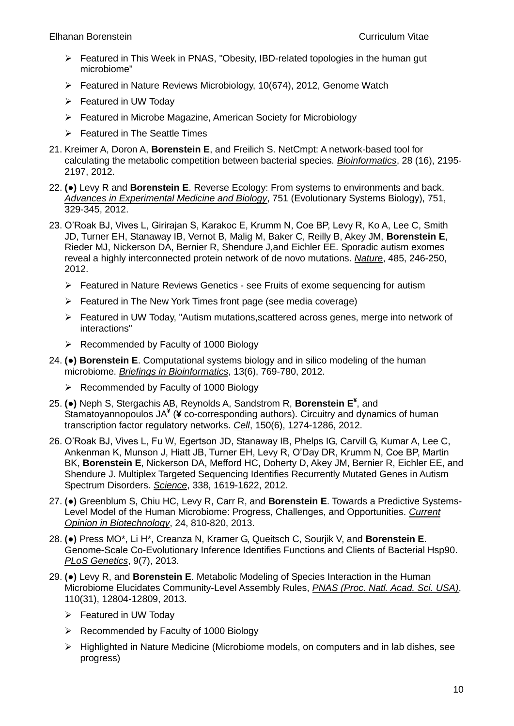- $\triangleright$  Featured in This Week in PNAS, "Obesity, IBD-related topologies in the human gut microbiome"
- Featured in Nature Reviews Microbiology, 10(674), 2012, Genome Watch
- Featured in UW Today
- Featured in Microbe Magazine, American Society for Microbiology
- $\triangleright$  Featured in The Seattle Times
- 21. Kreimer A, Doron A, **Borenstein E**, and Freilich S. NetCmpt: A network-based tool for calculating the metabolic competition between bacterial species. *Bioinformatics*, 28 (16), 2195- 2197, 2012.
- 22. **(●)** Levy R and **Borenstein E**. Reverse Ecology: From systems to environments and back. *Advances in Experimental Medicine and Biology*, 751 (Evolutionary Systems Biology), 751, 329-345, 2012.
- 23. O'Roak BJ, Vives L, Girirajan S, Karakoc E, Krumm N, Coe BP, Levy R, Ko A, Lee C, Smith JD, Turner EH, Stanaway IB, Vernot B, Malig M, Baker C, Reilly B, Akey JM, **Borenstein E**, Rieder MJ, Nickerson DA, Bernier R, Shendure J,and Eichler EE. Sporadic autism exomes reveal a highly interconnected protein network of de novo mutations. *Nature*, 485, 246-250, 2012.
	- $\triangleright$  Featured in Nature Reviews Genetics see Fruits of exome sequencing for autism
	- $\triangleright$  Featured in The New York Times front page (see media coverage)
	- Featured in UW Today, "Autism mutations,scattered across genes, merge into network of interactions"
	- $\triangleright$  Recommended by Faculty of 1000 Biology
- 24. **(●) Borenstein E**. Computational systems biology and in silico modeling of the human microbiome. *Briefings in Bioinformatics*, 13(6), 769-780, 2012.
	- $\triangleright$  Recommended by Faculty of 1000 Biology
- 25. **(●)** Neph S, Stergachis AB, Reynolds A, Sandstrom R, **Borenstein E¥** , and Stamatoyannopoulos JA**¥** (**¥** co-corresponding authors). Circuitry and dynamics of human transcription factor regulatory networks. *Cell*, 150(6), 1274-1286, 2012.
- 26. O'Roak BJ, Vives L, Fu W, Egertson JD, Stanaway IB, Phelps IG, Carvill G, Kumar A, Lee C, Ankenman K, Munson J, Hiatt JB, Turner EH, Levy R, O'Day DR, Krumm N, Coe BP, Martin BK, **Borenstein E**, Nickerson DA, Mefford HC, Doherty D, Akey JM, Bernier R, Eichler EE, and Shendure J. Multiplex Targeted Sequencing Identifies Recurrently Mutated Genes in Autism Spectrum Disorders. *Science*, 338, 1619-1622, 2012.
- 27. **(●)** Greenblum S, Chiu HC, Levy R, Carr R, and **Borenstein E**. Towards a Predictive Systems-Level Model of the Human Microbiome: Progress, Challenges, and Opportunities. *Current Opinion in Biotechnology*, 24, 810-820, 2013.
- 28. **(●)** Press MO\*, Li H\*, Creanza N, Kramer G, Queitsch C, Sourjik V, and **Borenstein E**. Genome-Scale Co-Evolutionary Inference Identifies Functions and Clients of Bacterial Hsp90. *PLoS Genetics*, 9(7), 2013.
- 29. **(●)** Levy R, and **Borenstein E**. Metabolic Modeling of Species Interaction in the Human Microbiome Elucidates Community-Level Assembly Rules, *PNAS (Proc. Natl. Acad. Sci. USA)*, 110(31), 12804-12809, 2013.
	- Featured in UW Today
	- $\triangleright$  Recommended by Faculty of 1000 Biology
	- $\triangleright$  Highlighted in Nature Medicine (Microbiome models, on computers and in lab dishes, see progress)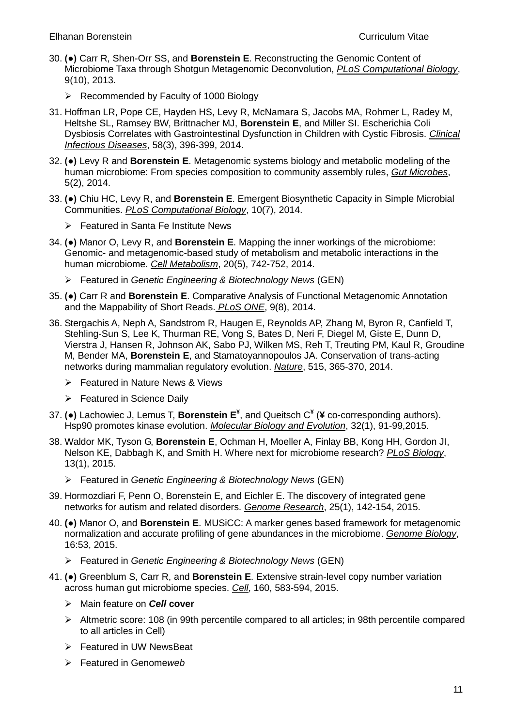- 30. **(●)** Carr R, Shen-Orr SS, and **Borenstein E**. Reconstructing the Genomic Content of Microbiome Taxa through Shotgun Metagenomic Deconvolution, *PLoS Computational Biology*, 9(10), 2013.
	- $\triangleright$  Recommended by Faculty of 1000 Biology
- 31. Hoffman LR, Pope CE, Hayden HS, Levy R, McNamara S, Jacobs MA, Rohmer L, Radey M, Heltshe SL, Ramsey BW, Brittnacher MJ, **Borenstein E**, and Miller SI. Escherichia Coli Dysbiosis Correlates with Gastrointestinal Dysfunction in Children with Cystic Fibrosis. *Clinical Infectious Diseases*, 58(3), 396-399, 2014.
- 32. **(●)** Levy R and **Borenstein E**. Metagenomic systems biology and metabolic modeling of the human microbiome: From species composition to community assembly rules, *Gut Microbes*, 5(2), 2014.
- 33. **(●)** Chiu HC, Levy R, and **Borenstein E**. Emergent Biosynthetic Capacity in Simple Microbial Communities. *PLoS Computational Biology*, 10(7), 2014.
	- Featured in Santa Fe Institute News
- 34. **(●)** Manor O, Levy R, and **Borenstein E**. Mapping the inner workings of the microbiome: Genomic- and metagenomic-based study of metabolism and metabolic interactions in the human microbiome. *Cell Metabolism*, 20(5), 742-752, 2014.
	- Featured in *Genetic Engineering & Biotechnology News* (GEN)
- 35. **(●)** Carr R and **Borenstein E**. Comparative Analysis of Functional Metagenomic Annotation and the Mappability of Short Reads. *PLoS ONE*, 9(8), 2014.
- 36. Stergachis A, Neph A, Sandstrom R, Haugen E, Reynolds AP, Zhang M, Byron R, Canfield T, Stehling-Sun S, Lee K, Thurman RE, Vong S, Bates D, Neri F, Diegel M, Giste E, Dunn D, Vierstra J, Hansen R, Johnson AK, Sabo PJ, Wilken MS, Reh T, Treuting PM, Kaul R, Groudine M, Bender MA, **Borenstein E**, and Stamatoyannopoulos JA. Conservation of trans-acting networks during mammalian regulatory evolution. *Nature*, 515, 365-370, 2014.
	- Featured in Nature News & Views
	- Featured in Science Daily
- 37. **(●)** Lachowiec J, Lemus T, **Borenstein E¥** , and Queitsch C**¥** (**¥** co-corresponding authors). Hsp90 promotes kinase evolution. *Molecular Biology and Evolution*, 32(1), 91-99,2015.
- 38. Waldor MK, Tyson G, **Borenstein E**, Ochman H, Moeller A, Finlay BB, Kong HH, Gordon JI, Nelson KE, Dabbagh K, and Smith H. Where next for microbiome research? *PLoS Biology*, 13(1), 2015.
	- Featured in *Genetic Engineering & Biotechnology News* (GEN)
- 39. Hormozdiari F, Penn O, Borenstein E, and Eichler E. The discovery of integrated gene networks for autism and related disorders. *Genome Research*, 25(1), 142-154, 2015.
- 40. **(●)** Manor O, and **Borenstein E**. MUSiCC: A marker genes based framework for metagenomic normalization and accurate profiling of gene abundances in the microbiome. *Genome Biology*, 16:53, 2015.
	- Featured in *Genetic Engineering & Biotechnology News* (GEN)
- 41. **(●)** Greenblum S, Carr R, and **Borenstein E**. Extensive strain-level copy number variation across human gut microbiome species. *Cell*, 160, 583-594, 2015.
	- Main feature on *Cell* **cover**
	- $\triangleright$  Altmetric score: 108 (in 99th percentile compared to all articles; in 98th percentile compared to all articles in Cell)
	- **Featured in UW NewsBeat**
	- Featured in Genome*web*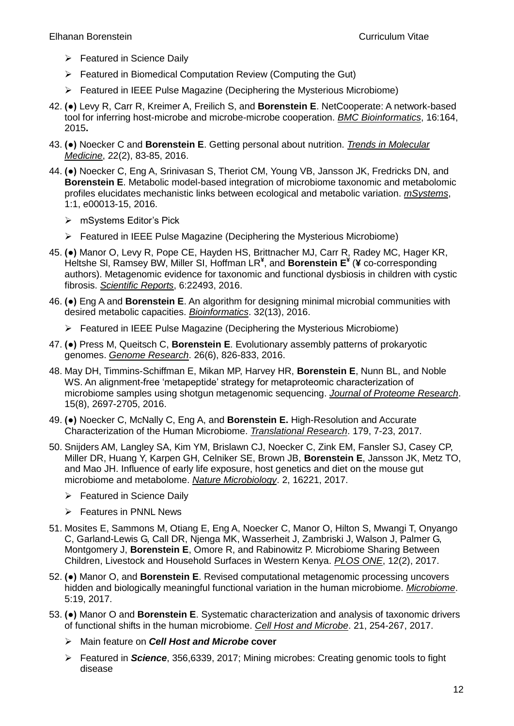- $\triangleright$  Featured in Science Daily
- Featured in Biomedical Computation Review (Computing the Gut)
- $\triangleright$  Featured in IEEE Pulse Magazine (Deciphering the Mysterious Microbiome)
- 42. **(●)** Levy R, Carr R, Kreimer A, Freilich S, and **Borenstein E**. NetCooperate: A network-based tool for inferring host-microbe and microbe-microbe cooperation. *BMC Bioinformatics*, 16:164, 2015**.**
- 43. **(●)** Noecker C and **Borenstein E**. Getting personal about nutrition. *Trends in Molecular Medicine*, 22(2), 83-85, 2016.
- 44. **(●)** Noecker C, Eng A, Srinivasan S, Theriot CM, Young VB, Jansson JK, Fredricks DN, and **Borenstein E**. Metabolic model-based integration of microbiome taxonomic and metabolomic profiles elucidates mechanistic links between ecological and metabolic variation. *mSystems*, 1:1, e00013-15, 2016.
	- mSystems Editor's Pick
	- $\triangleright$  Featured in IEEE Pulse Magazine (Deciphering the Mysterious Microbiome)
- 45. **(●)** Manor O, Levy R, Pope CE, Hayden HS, Brittnacher MJ, Carr R, Radey MC, Hager KR, Heltshe Sl, Ramsey BW, Miller SI, Hoffman LR**¥** , and **Borenstein E¥** (**¥** co-corresponding authors). Metagenomic evidence for taxonomic and functional dysbiosis in children with cystic fibrosis. *Scientific Reports*, 6:22493, 2016.
- 46. **(●)** Eng A and **Borenstein E**. An algorithm for designing minimal microbial communities with desired metabolic capacities. *Bioinformatics*. 32(13), 2016.
	- $\triangleright$  Featured in IEEE Pulse Magazine (Deciphering the Mysterious Microbiome)
- 47. **(●)** Press M, Queitsch C, **Borenstein E**. Evolutionary assembly patterns of prokaryotic genomes. *Genome Research*. 26(6), 826-833, 2016.
- 48. May DH, Timmins-Schiffman E, Mikan MP, Harvey HR, **Borenstein E**, Nunn BL, and Noble WS. An alignment-free 'metapeptide' strategy for metaproteomic characterization of microbiome samples using shotgun metagenomic sequencing. *Journal of Proteome Research*. 15(8), 2697-2705, 2016.
- 49. **(●)** Noecker C, McNally C, Eng A, and **Borenstein E.** High-Resolution and Accurate Characterization of the Human Microbiome. *Translational Research*. 179, 7-23, 2017.
- 50. Snijders AM, Langley SA, Kim YM, Brislawn CJ, Noecker C, Zink EM, Fansler SJ, Casey CP, Miller DR, Huang Y, Karpen GH, Celniker SE, Brown JB, **Borenstein E**, Jansson JK, Metz TO, and Mao JH. Influence of early life exposure, host genetics and diet on the mouse gut microbiome and metabolome. *Nature Microbiology*. 2, 16221, 2017.
	- $\triangleright$  Featured in Science Daily
	- $\triangleright$  Features in PNNL News
- 51. Mosites E, Sammons M, Otiang E, Eng A, Noecker C, Manor O, Hilton S, Mwangi T, Onyango C, Garland-Lewis G, Call DR, Njenga MK, Wasserheit J, Zambriski J, Walson J, Palmer G, Montgomery J, **Borenstein E**, Omore R, and Rabinowitz P. Microbiome Sharing Between Children, Livestock and Household Surfaces in Western Kenya. *PLOS ONE*, 12(2), 2017.
- 52. **(●)** Manor O, and **Borenstein E**. Revised computational metagenomic processing uncovers hidden and biologically meaningful functional variation in the human microbiome. *Microbiome*. 5:19, 2017.
- 53. **(●)** Manor O and **Borenstein E**. Systematic characterization and analysis of taxonomic drivers of functional shifts in the human microbiome. *Cell Host and Microbe*. 21, 254-267, 2017.
	- Main feature on *Cell Host and Microbe* **cover**
	- Featured in *Science*, 356,6339, 2017; Mining microbes: Creating genomic tools to fight disease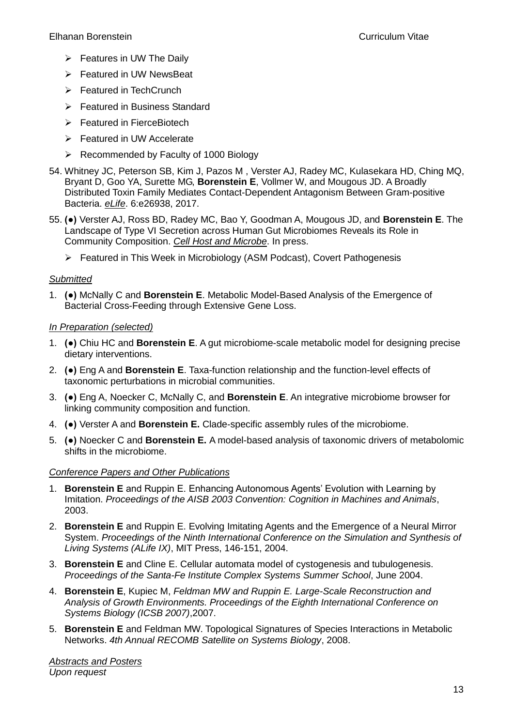- $\triangleright$  Features in UW The Daily
- **Featured in UW NewsBeat**
- $\triangleright$  Featured in TechCrunch
- **Example 2** Featured in Business Standard
- $\triangleright$  Featured in FierceBiotech
- $\triangleright$  Featured in UW Accelerate
- $\triangleright$  Recommended by Faculty of 1000 Biology
- 54. Whitney JC, Peterson SB, Kim J, Pazos M , Verster AJ, Radey MC, Kulasekara HD, Ching MQ, Bryant D, Goo YA, Surette MG, **Borenstein E**, Vollmer W, and Mougous JD. A Broadly Distributed Toxin Family Mediates Contact-Dependent Antagonism Between Gram-positive Bacteria. *eLife*. 6:e26938, 2017.
- 55. **(●)** Verster AJ, Ross BD, Radey MC, Bao Y, Goodman A, Mougous JD, and **Borenstein E**. The Landscape of Type VI Secretion across Human Gut Microbiomes Reveals its Role in Community Composition. *Cell Host and Microbe*. In press.
	- Featured in This Week in Microbiology (ASM Podcast), Covert Pathogenesis

#### *Submitted*

1. **(●)** McNally C and **Borenstein E**. Metabolic Model-Based Analysis of the Emergence of Bacterial Cross-Feeding through Extensive Gene Loss.

#### *In Preparation (selected)*

- 1. **(●)** Chiu HC and **Borenstein E**. A gut microbiome-scale metabolic model for designing precise dietary interventions.
- 2. **(●)** Eng A and **Borenstein E**. Taxa-function relationship and the function-level effects of taxonomic perturbations in microbial communities.
- 3. **(●)** Eng A, Noecker C, McNally C, and **Borenstein E**. An integrative microbiome browser for linking community composition and function.
- 4. **(●)** Verster A and **Borenstein E.** Clade-specific assembly rules of the microbiome.
- 5. **(●)** Noecker C and **Borenstein E.** A model-based analysis of taxonomic drivers of metabolomic shifts in the microbiome.

#### *Conference Papers and Other Publications*

- 1. **Borenstein E** and Ruppin E. Enhancing Autonomous Agents' Evolution with Learning by Imitation. *Proceedings of the AISB 2003 Convention: Cognition in Machines and Animals*, 2003.
- 2. **Borenstein E** and Ruppin E. Evolving Imitating Agents and the Emergence of a Neural Mirror System. *Proceedings of the Ninth International Conference on the Simulation and Synthesis of Living Systems (ALife IX)*, MIT Press, 146-151, 2004.
- 3. **Borenstein E** and Cline E. Cellular automata model of cystogenesis and tubulogenesis. *Proceedings of the Santa-Fe Institute Complex Systems Summer School*, June 2004.
- 4. **Borenstein E**, Kupiec M, *Feldman MW and Ruppin E. Large-Scale Reconstruction and Analysis of Growth Environments. Proceedings of the Eighth International Conference on Systems Biology (ICSB 2007)*,2007.
- 5. **Borenstein E** and Feldman MW. Topological Signatures of Species Interactions in Metabolic Networks. *4th Annual RECOMB Satellite on Systems Biology*, 2008.

*Abstracts and Posters Upon request*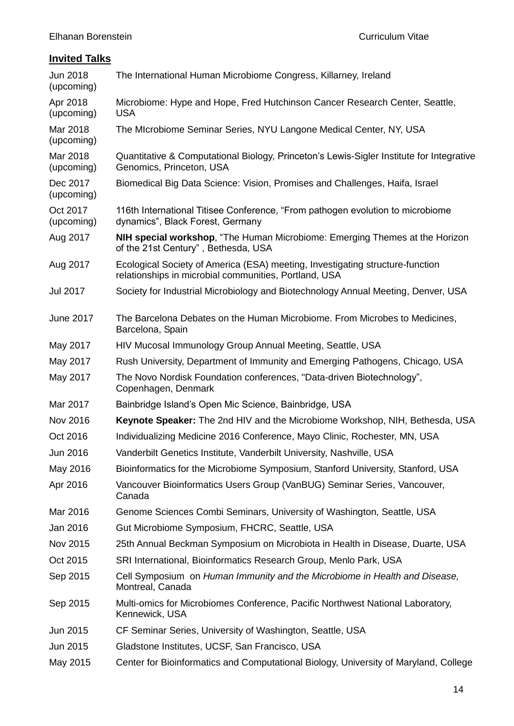# **Invited Talks**

| Jun 2018<br>(upcoming) | The International Human Microbiome Congress, Killarney, Ireland                                                                        |
|------------------------|----------------------------------------------------------------------------------------------------------------------------------------|
| Apr 2018<br>(upcoming) | Microbiome: Hype and Hope, Fred Hutchinson Cancer Research Center, Seattle,<br><b>USA</b>                                              |
| Mar 2018<br>(upcoming) | The Microbiome Seminar Series, NYU Langone Medical Center, NY, USA                                                                     |
| Mar 2018<br>(upcoming) | Quantitative & Computational Biology, Princeton's Lewis-Sigler Institute for Integrative<br>Genomics, Princeton, USA                   |
| Dec 2017<br>(upcoming) | Biomedical Big Data Science: Vision, Promises and Challenges, Haifa, Israel                                                            |
| Oct 2017<br>(upcoming) | 116th International Titisee Conference, "From pathogen evolution to microbiome<br>dynamics", Black Forest, Germany                     |
| Aug 2017               | NIH special workshop, "The Human Microbiome: Emerging Themes at the Horizon<br>of the 21st Century", Bethesda, USA                     |
| Aug 2017               | Ecological Society of America (ESA) meeting, Investigating structure-function<br>relationships in microbial communities, Portland, USA |
| <b>Jul 2017</b>        | Society for Industrial Microbiology and Biotechnology Annual Meeting, Denver, USA                                                      |
| <b>June 2017</b>       | The Barcelona Debates on the Human Microbiome. From Microbes to Medicines,<br>Barcelona, Spain                                         |
| May 2017               | HIV Mucosal Immunology Group Annual Meeting, Seattle, USA                                                                              |
| May 2017               | Rush University, Department of Immunity and Emerging Pathogens, Chicago, USA                                                           |
| May 2017               | The Novo Nordisk Foundation conferences, "Data-driven Biotechnology",<br>Copenhagen, Denmark                                           |
| Mar 2017               | Bainbridge Island's Open Mic Science, Bainbridge, USA                                                                                  |
| Nov 2016               | Keynote Speaker: The 2nd HIV and the Microbiome Workshop, NIH, Bethesda, USA                                                           |
| Oct 2016               | Individualizing Medicine 2016 Conference, Mayo Clinic, Rochester, MN, USA                                                              |
| Jun 2016               | Vanderbilt Genetics Institute, Vanderbilt University, Nashville, USA                                                                   |
| May 2016               | Bioinformatics for the Microbiome Symposium, Stanford University, Stanford, USA                                                        |
| Apr 2016               | Vancouver Bioinformatics Users Group (VanBUG) Seminar Series, Vancouver,<br>Canada                                                     |
| Mar 2016               | Genome Sciences Combi Seminars, University of Washington, Seattle, USA                                                                 |
| Jan 2016               | Gut Microbiome Symposium, FHCRC, Seattle, USA                                                                                          |
| Nov 2015               | 25th Annual Beckman Symposium on Microbiota in Health in Disease, Duarte, USA                                                          |
| Oct 2015               | SRI International, Bioinformatics Research Group, Menlo Park, USA                                                                      |
| Sep 2015               | Cell Symposium on Human Immunity and the Microbiome in Health and Disease,<br>Montreal, Canada                                         |
| Sep 2015               | Multi-omics for Microbiomes Conference, Pacific Northwest National Laboratory,<br>Kennewick, USA                                       |
| Jun 2015               | CF Seminar Series, University of Washington, Seattle, USA                                                                              |
| Jun 2015               | Gladstone Institutes, UCSF, San Francisco, USA                                                                                         |
| May 2015               | Center for Bioinformatics and Computational Biology, University of Maryland, College                                                   |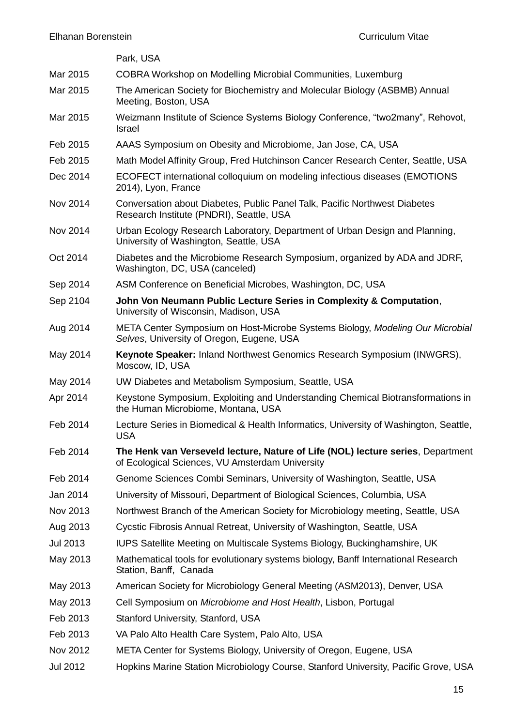|                 | Park, USA                                                                                                                          |
|-----------------|------------------------------------------------------------------------------------------------------------------------------------|
| Mar 2015        | COBRA Workshop on Modelling Microbial Communities, Luxemburg                                                                       |
| Mar 2015        | The American Society for Biochemistry and Molecular Biology (ASBMB) Annual<br>Meeting, Boston, USA                                 |
| Mar 2015        | Weizmann Institute of Science Systems Biology Conference, "two2many", Rehovot,<br>Israel                                           |
| Feb 2015        | AAAS Symposium on Obesity and Microbiome, Jan Jose, CA, USA                                                                        |
| Feb 2015        | Math Model Affinity Group, Fred Hutchinson Cancer Research Center, Seattle, USA                                                    |
| Dec 2014        | ECOFECT international colloquium on modeling infectious diseases (EMOTIONS<br>2014), Lyon, France                                  |
| Nov 2014        | Conversation about Diabetes, Public Panel Talk, Pacific Northwest Diabetes<br>Research Institute (PNDRI), Seattle, USA             |
| Nov 2014        | Urban Ecology Research Laboratory, Department of Urban Design and Planning,<br>University of Washington, Seattle, USA              |
| Oct 2014        | Diabetes and the Microbiome Research Symposium, organized by ADA and JDRF,<br>Washington, DC, USA (canceled)                       |
| Sep 2014        | ASM Conference on Beneficial Microbes, Washington, DC, USA                                                                         |
| Sep 2104        | John Von Neumann Public Lecture Series in Complexity & Computation,<br>University of Wisconsin, Madison, USA                       |
| Aug 2014        | META Center Symposium on Host-Microbe Systems Biology, Modeling Our Microbial<br>Selves, University of Oregon, Eugene, USA         |
| May 2014        | Keynote Speaker: Inland Northwest Genomics Research Symposium (INWGRS),<br>Moscow, ID, USA                                         |
| May 2014        | UW Diabetes and Metabolism Symposium, Seattle, USA                                                                                 |
| Apr 2014        | Keystone Symposium, Exploiting and Understanding Chemical Biotransformations in<br>the Human Microbiome, Montana, USA              |
| Feb 2014        | Lecture Series in Biomedical & Health Informatics, University of Washington, Seattle,<br><b>USA</b>                                |
| Feb 2014        | The Henk van Verseveld lecture, Nature of Life (NOL) lecture series, Department<br>of Ecological Sciences, VU Amsterdam University |
| Feb 2014        | Genome Sciences Combi Seminars, University of Washington, Seattle, USA                                                             |
| Jan 2014        | University of Missouri, Department of Biological Sciences, Columbia, USA                                                           |
| Nov 2013        | Northwest Branch of the American Society for Microbiology meeting, Seattle, USA                                                    |
| Aug 2013        | Cycstic Fibrosis Annual Retreat, University of Washington, Seattle, USA                                                            |
| <b>Jul 2013</b> | IUPS Satellite Meeting on Multiscale Systems Biology, Buckinghamshire, UK                                                          |
| May 2013        | Mathematical tools for evolutionary systems biology, Banff International Research<br>Station, Banff, Canada                        |
| May 2013        | American Society for Microbiology General Meeting (ASM2013), Denver, USA                                                           |
| May 2013        | Cell Symposium on Microbiome and Host Health, Lisbon, Portugal                                                                     |
| Feb 2013        | Stanford University, Stanford, USA                                                                                                 |
| Feb 2013        | VA Palo Alto Health Care System, Palo Alto, USA                                                                                    |
| Nov 2012        | META Center for Systems Biology, University of Oregon, Eugene, USA                                                                 |
| Jul 2012        | Hopkins Marine Station Microbiology Course, Stanford University, Pacific Grove, USA                                                |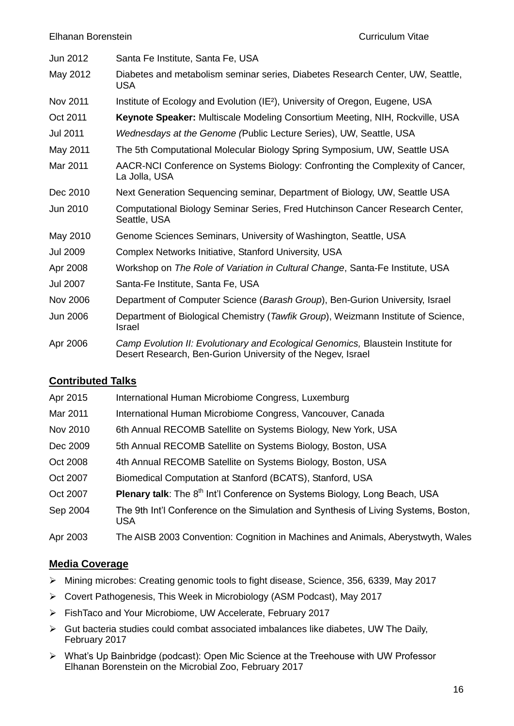| Jun 2012        | Santa Fe Institute, Santa Fe, USA                                                                                                               |
|-----------------|-------------------------------------------------------------------------------------------------------------------------------------------------|
| May 2012        | Diabetes and metabolism seminar series, Diabetes Research Center, UW, Seattle,<br><b>USA</b>                                                    |
| Nov 2011        | Institute of Ecology and Evolution (IE <sup>2</sup> ), University of Oregon, Eugene, USA                                                        |
| Oct 2011        | Keynote Speaker: Multiscale Modeling Consortium Meeting, NIH, Rockville, USA                                                                    |
| <b>Jul 2011</b> | Wednesdays at the Genome (Public Lecture Series), UW, Seattle, USA                                                                              |
| May 2011        | The 5th Computational Molecular Biology Spring Symposium, UW, Seattle USA                                                                       |
| Mar 2011        | AACR-NCI Conference on Systems Biology: Confronting the Complexity of Cancer,<br>La Jolla, USA                                                  |
| Dec 2010        | Next Generation Sequencing seminar, Department of Biology, UW, Seattle USA                                                                      |
| Jun 2010        | Computational Biology Seminar Series, Fred Hutchinson Cancer Research Center,<br>Seattle, USA                                                   |
| May 2010        | Genome Sciences Seminars, University of Washington, Seattle, USA                                                                                |
| <b>Jul 2009</b> | Complex Networks Initiative, Stanford University, USA                                                                                           |
| Apr 2008        | Workshop on The Role of Variation in Cultural Change, Santa-Fe Institute, USA                                                                   |
| <b>Jul 2007</b> | Santa-Fe Institute, Santa Fe, USA                                                                                                               |
| <b>Nov 2006</b> | Department of Computer Science (Barash Group), Ben-Gurion University, Israel                                                                    |
| <b>Jun 2006</b> | Department of Biological Chemistry (Tawfik Group), Weizmann Institute of Science,<br><b>Israel</b>                                              |
| Apr 2006        | Camp Evolution II: Evolutionary and Ecological Genomics, Blaustein Institute for<br>Desert Research, Ben-Gurion University of the Negev, Israel |

# **Contributed Talks**

| Apr 2015 | International Human Microbiome Congress, Luxemburg                                                |
|----------|---------------------------------------------------------------------------------------------------|
| Mar 2011 | International Human Microbiome Congress, Vancouver, Canada                                        |
| Nov 2010 | 6th Annual RECOMB Satellite on Systems Biology, New York, USA                                     |
| Dec 2009 | 5th Annual RECOMB Satellite on Systems Biology, Boston, USA                                       |
| Oct 2008 | 4th Annual RECOMB Satellite on Systems Biology, Boston, USA                                       |
| Oct 2007 | Biomedical Computation at Stanford (BCATS), Stanford, USA                                         |
| Oct 2007 | Plenary talk: The 8 <sup>th</sup> Int'l Conference on Systems Biology, Long Beach, USA            |
| Sep 2004 | The 9th Int'l Conference on the Simulation and Synthesis of Living Systems, Boston,<br><b>USA</b> |
| Apr 2003 | The AISB 2003 Convention: Cognition in Machines and Animals, Aberystwyth, Wales                   |

# **Media Coverage**

- Mining microbes: Creating genomic tools to fight disease, Science, 356, 6339, May 2017
- Covert Pathogenesis, This Week in Microbiology (ASM Podcast), May 2017
- FishTaco and Your Microbiome, UW Accelerate, February 2017
- $\triangleright$  Gut bacteria studies could combat associated imbalances like diabetes, UW The Daily, February 2017
- What's Up Bainbridge (podcast): Open Mic Science at the Treehouse with UW Professor Elhanan Borenstein on the Microbial Zoo, February 2017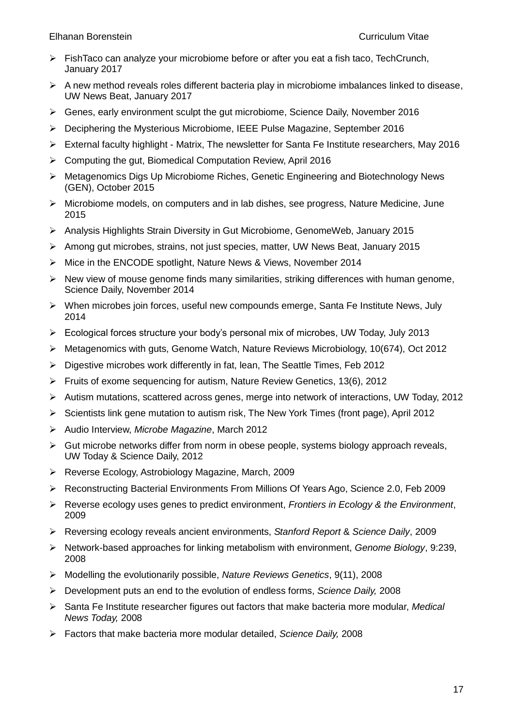Elhanan Borenstein Curriculum Vitae

- $\triangleright$  FishTaco can analyze your microbiome before or after you eat a fish taco. TechCrunch, January 2017
- $\triangleright$  A new method reveals roles different bacteria play in microbiome imbalances linked to disease, UW News Beat, January 2017
- Genes, early environment sculpt the gut microbiome, Science Daily, November 2016
- Deciphering the Mysterious Microbiome, IEEE Pulse Magazine, September 2016
- $\triangleright$  External faculty highlight Matrix, The newsletter for Santa Fe Institute researchers, May 2016
- Computing the gut, Biomedical Computation Review, April 2016
- Metagenomics Digs Up Microbiome Riches, Genetic Engineering and Biotechnology News (GEN), October 2015
- $\triangleright$  Microbiome models, on computers and in lab dishes, see progress, Nature Medicine, June 2015
- Analysis Highlights Strain Diversity in Gut Microbiome, GenomeWeb, January 2015
- Among gut microbes, strains, not just species, matter, UW News Beat, January 2015
- > Mice in the ENCODE spotlight, Nature News & Views, November 2014
- $\triangleright$  New view of mouse genome finds many similarities, striking differences with human genome, Science Daily, November 2014
- When microbes join forces, useful new compounds emerge, Santa Fe Institute News, July 2014
- Ecological forces structure your body's personal mix of microbes, UW Today, July 2013
- Metagenomics with guts, Genome Watch, Nature Reviews Microbiology, 10(674), Oct 2012
- $\triangleright$  Digestive microbes work differently in fat, lean, The Seattle Times, Feb 2012
- Fruits of exome sequencing for autism, Nature Review Genetics, 13(6), 2012
- $\triangleright$  Autism mutations, scattered across genes, merge into network of interactions, UW Today, 2012
- $\triangleright$  Scientists link gene mutation to autism risk, The New York Times (front page), April 2012
- Audio Interview, *Microbe Magazine*, March 2012
- $\triangleright$  Gut microbe networks differ from norm in obese people, systems biology approach reveals, UW Today & Science Daily, 2012
- Reverse Ecology, Astrobiology Magazine, March, 2009
- Reconstructing Bacterial Environments From Millions Of Years Ago, Science 2.0, Feb 2009
- Reverse ecology uses genes to predict environment, *Frontiers in Ecology & the Environment*, 2009
- Reversing ecology reveals ancient environments, *Stanford Report* & *Science Daily*, 2009
- Network-based approaches for linking metabolism with environment, *Genome Biology*, 9:239, 2008
- Modelling the evolutionarily possible, *Nature Reviews Genetics*, 9(11), 2008
- Development puts an end to the evolution of endless forms, *Science Daily,* 2008
- Santa Fe Institute researcher figures out factors that make bacteria more modular, *Medical News Today,* 2008
- Factors that make bacteria more modular detailed, *Science Daily,* 2008